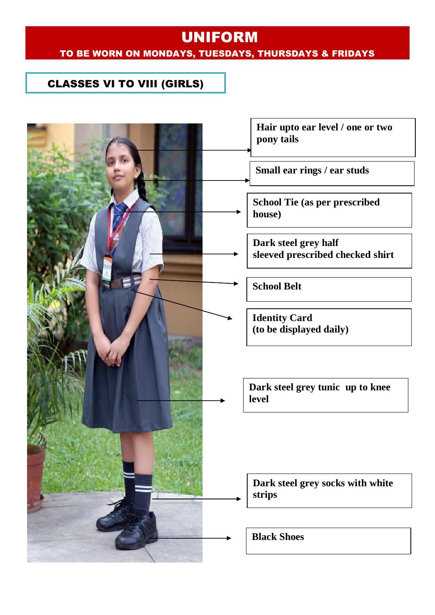#### CLASSES VI TO VIII (GIRLS)

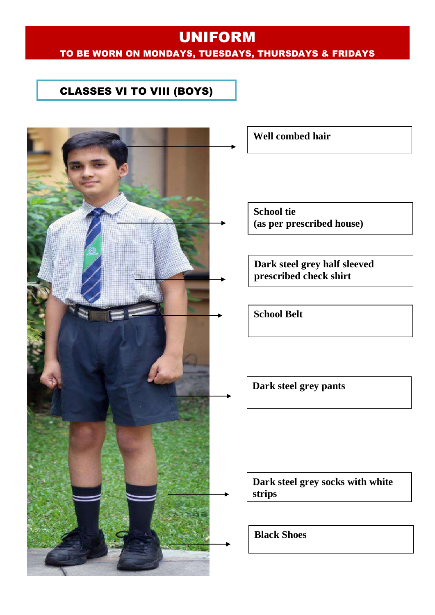#### CLASSES VI TO VIII (BOYS)

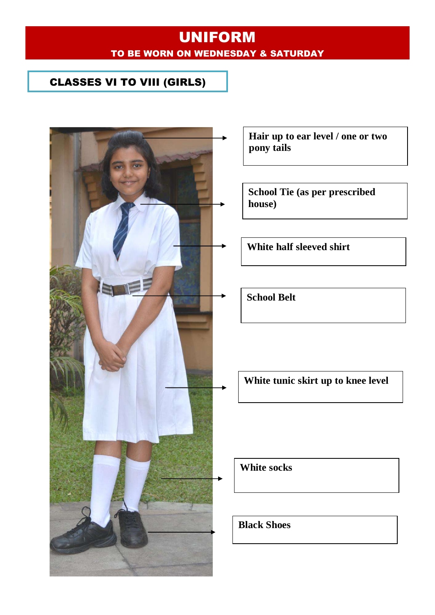## UNIFORM TO BE WORN ON WEDNESDAY & SATURDAY

#### CLASSES VI TO VIII (GIRLS)



**Hair up to ear level / one or two pony tails**

**School Tie (as per prescribed house)**

**White half sleeved shirt**

**School Belt**

**White tunic skirt up to knee level**

**White socks**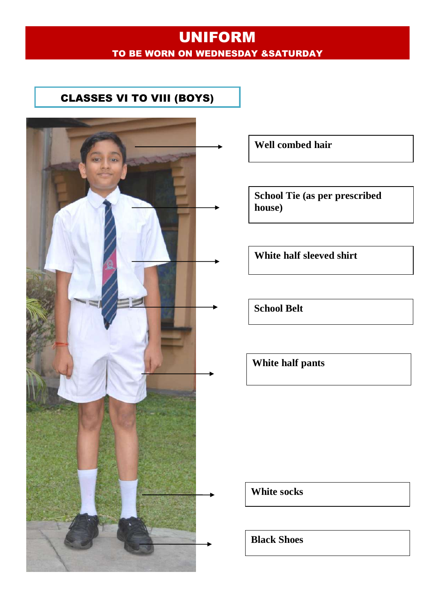## UNIFORM TO BE WORN ON WEDNESDAY &SATURDAY

#### CLASSES VI TO VIII (BOYS)



**Well combed hair**

**School Tie (as per prescribed house)**

**White half sleeved shirt**

**School Belt**

**White half pants** 

**White socks**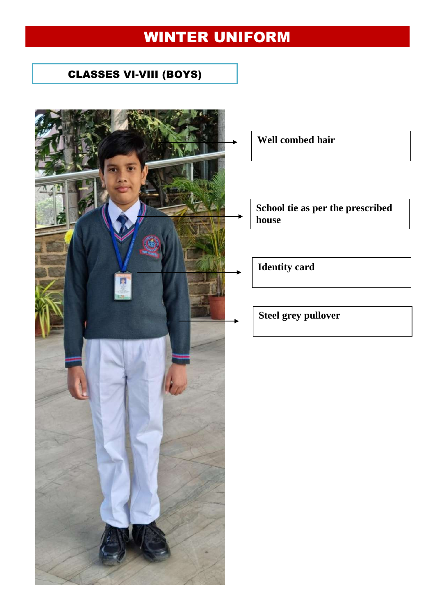# WINTER UNIFORM

## CLASSES VI-VIII (BOYS)



**Well combed hair**

**School tie as per the prescribed house**

**Identity card**

**Steel grey pullover**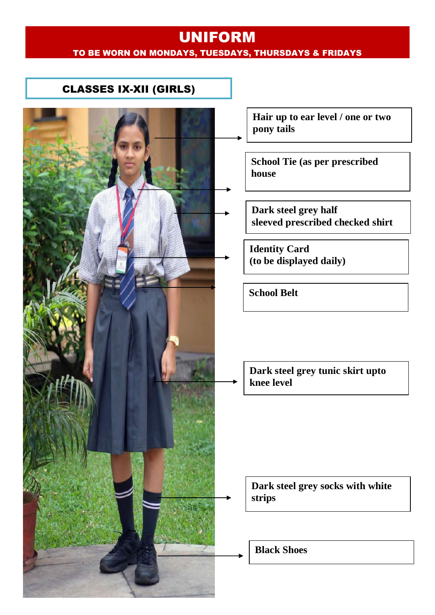#### CLASSES IX-XII (GIRLS)



**Hair up to ear level / one or two pony tails**

**School Tie (as per prescribed house**

**Dark steel grey half sleeved prescribed checked shirt**

**Identity Card (to be displayed daily)**

**School Belt**

**Dark steel grey tunic skirt upto knee level**

**Dark steel grey socks with white strips**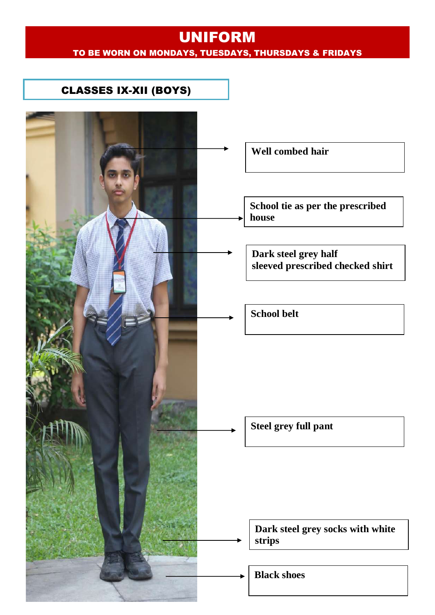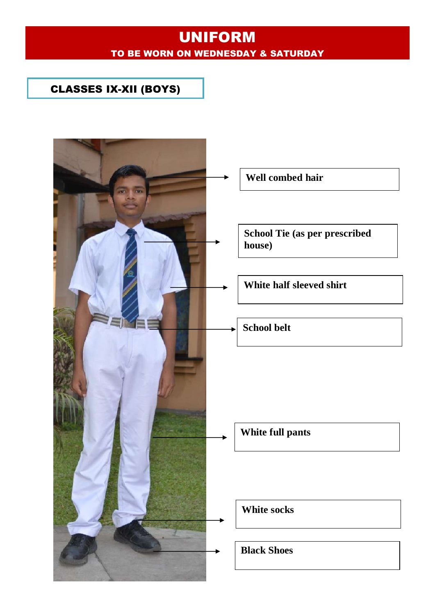## UNIFORM TO BE WORN ON WEDNESDAY & SATURDAY

#### CLASSES IX-XII (BOYS)

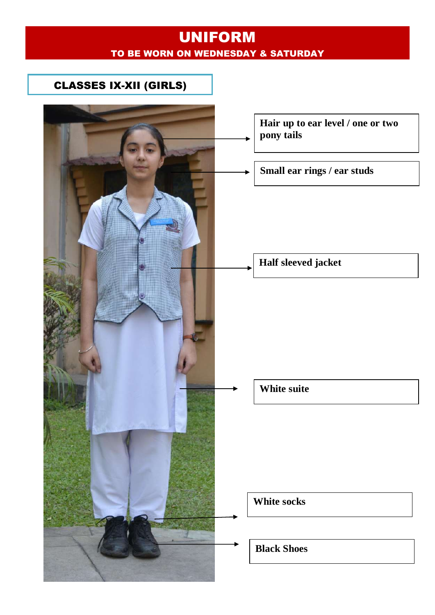## UNIFORM TO BE WORN ON WEDNESDAY & SATURDAY

#### CLASSES IX-XII (GIRLS)

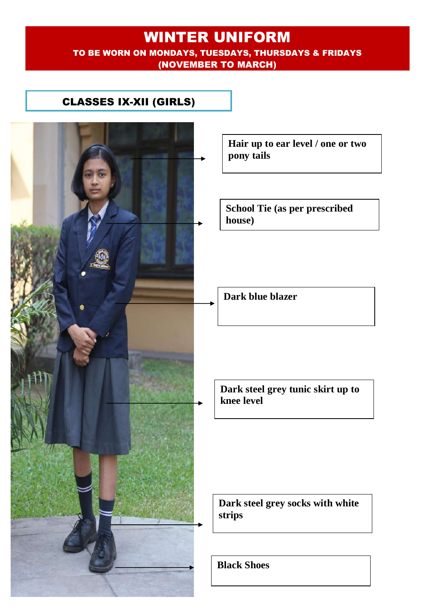#### WINTER UNIFORM TO BE WORN ON MONDAYS, TUESDAYS, THURSDAYS & FRIDAYS (NOVEMBER TO MARCH)

#### CLASSES IX-XII (GIRLS)



**Hair up to ear level / one or two pony tails**

**School Tie (as per prescribed** 

**Dark blue blazer**

**Dark steel grey tunic skirt up to knee level**

**Dark steel grey socks with white**